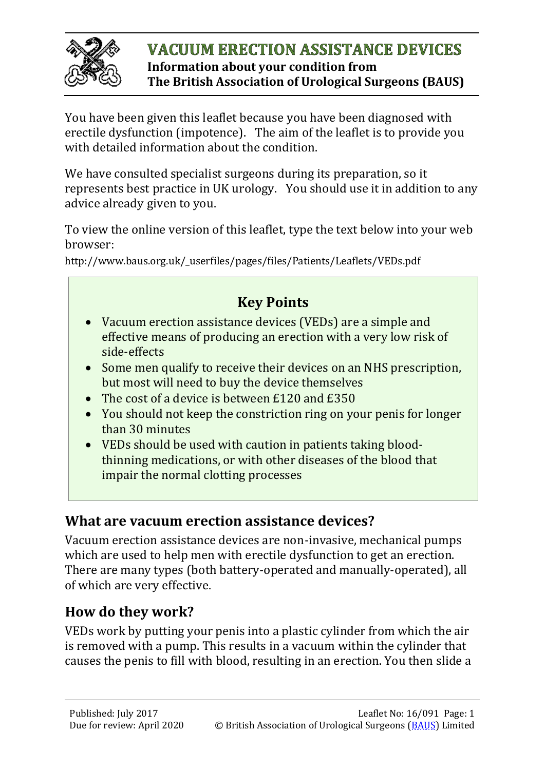

#### **VACUUM ERECTION ASSISTANCE DEVICES Information about your condition from The British Association of Urological Surgeons (BAUS)**

You have been given this leaflet because you have been diagnosed with erectile dysfunction (impotence). The aim of the leaflet is to provide you with detailed information about the condition.

We have consulted specialist surgeons during its preparation, so it represents best practice in UK urology. You should use it in addition to any advice already given to you.

To view the online version of this leaflet, type the text below into your web browser:

http://www.baus.org.uk/\_userfiles/pages/files/Patients/Leaflets/VEDs.pdf

## **Key Points**

- Vacuum erection assistance devices (VEDs) are a simple and effective means of producing an erection with a very low risk of side-effects
- Some men qualify to receive their devices on an NHS prescription, but most will need to buy the device themselves
- The cost of a device is between £120 and £350
- You should not keep the constriction ring on your penis for longer than 30 minutes
- VEDs should be used with caution in patients taking bloodthinning medications, or with other diseases of the blood that impair the normal clotting processes

#### **What are vacuum erection assistance devices?**

Vacuum erection assistance devices are non-invasive, mechanical pumps which are used to help men with erectile dysfunction to get an erection. There are many types (both battery-operated and manually-operated), all of which are very effective.

## **How do they work?**

VEDs work by putting your penis into a plastic cylinder from which the air is removed with a pump. This results in a vacuum within the cylinder that causes the penis to fill with blood, resulting in an erection. You then slide a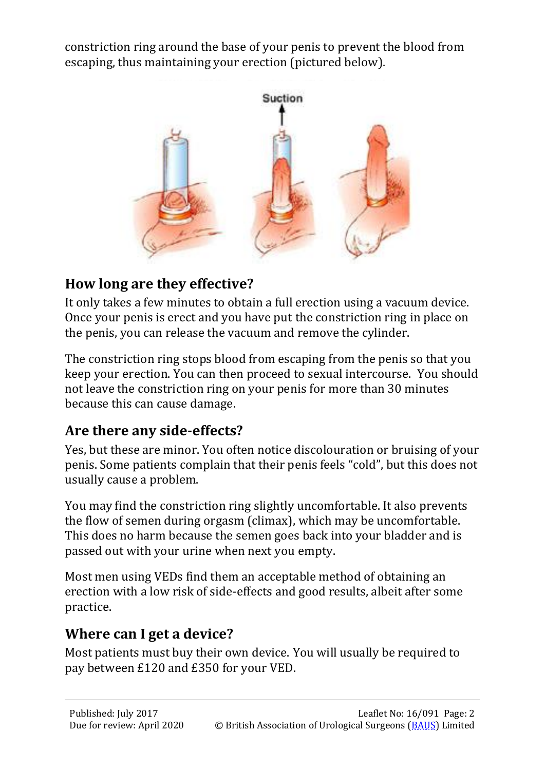constriction ring around the base of your penis to prevent the blood from escaping, thus maintaining your erection (pictured below).



## **How long are they effective?**

It only takes a few minutes to obtain a full erection using a vacuum device. Once your penis is erect and you have put the constriction ring in place on the penis, you can release the vacuum and remove the cylinder.

The constriction ring stops blood from escaping from the penis so that you keep your erection. You can then proceed to sexual intercourse. You should not leave the constriction ring on your penis for more than 30 minutes because this can cause damage.

## **Are there any side-effects?**

Yes, but these are minor. You often notice discolouration or bruising of your penis. Some patients complain that their penis feels "cold", but this does not usually cause a problem.

You may find the constriction ring slightly uncomfortable. It also prevents the flow of semen during orgasm (climax), which may be uncomfortable. This does no harm because the semen goes back into your bladder and is passed out with your urine when next you empty.

Most men using VEDs find them an acceptable method of obtaining an erection with a low risk of side-effects and good results, albeit after some practice.

## **Where can I get a device?**

Most patients must buy their own device. You will usually be required to pay between £120 and £350 for your VED.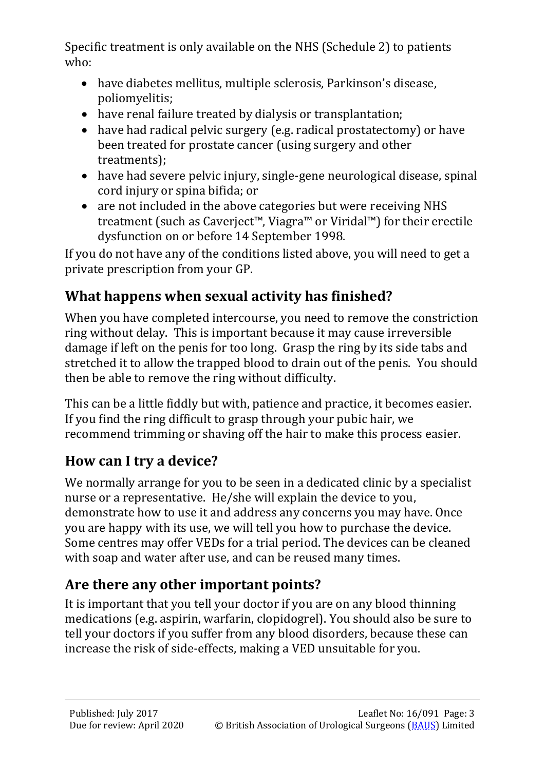Specific treatment is only available on the NHS (Schedule 2) to patients who:

- have diabetes mellitus, multiple sclerosis, Parkinson's disease, poliomyelitis;
- have renal failure treated by dialysis or transplantation;
- have had radical pelvic surgery (e.g. radical prostatectomy) or have been treated for prostate cancer (using surgery and other treatments);
- have had severe pelvic injury, single-gene neurological disease, spinal cord injury or spina bifida; or
- are not included in the above categories but were receiving NHS treatment (such as Caverject™, Viagra™ or Viridal™) for their erectile dysfunction on or before 14 September 1998.

If you do not have any of the conditions listed above, you will need to get a private prescription from your GP.

## **What happens when sexual activity has finished?**

When you have completed intercourse, you need to remove the constriction ring without delay. This is important because it may cause irreversible damage if left on the penis for too long. Grasp the ring by its side tabs and stretched it to allow the trapped blood to drain out of the penis. You should then be able to remove the ring without difficulty.

This can be a little fiddly but with, patience and practice, it becomes easier. If you find the ring difficult to grasp through your pubic hair, we recommend trimming or shaving off the hair to make this process easier.

## **How can I try a device?**

We normally arrange for you to be seen in a dedicated clinic by a specialist nurse or a representative. He/she will explain the device to you, demonstrate how to use it and address any concerns you may have. Once you are happy with its use, we will tell you how to purchase the device. Some centres may offer VEDs for a trial period. The devices can be cleaned with soap and water after use, and can be reused many times.

# **Are there any other important points?**

It is important that you tell your doctor if you are on any blood thinning medications (e.g. aspirin, warfarin, clopidogrel). You should also be sure to tell your doctors if you suffer from any blood disorders, because these can increase the risk of side-effects, making a VED unsuitable for you.